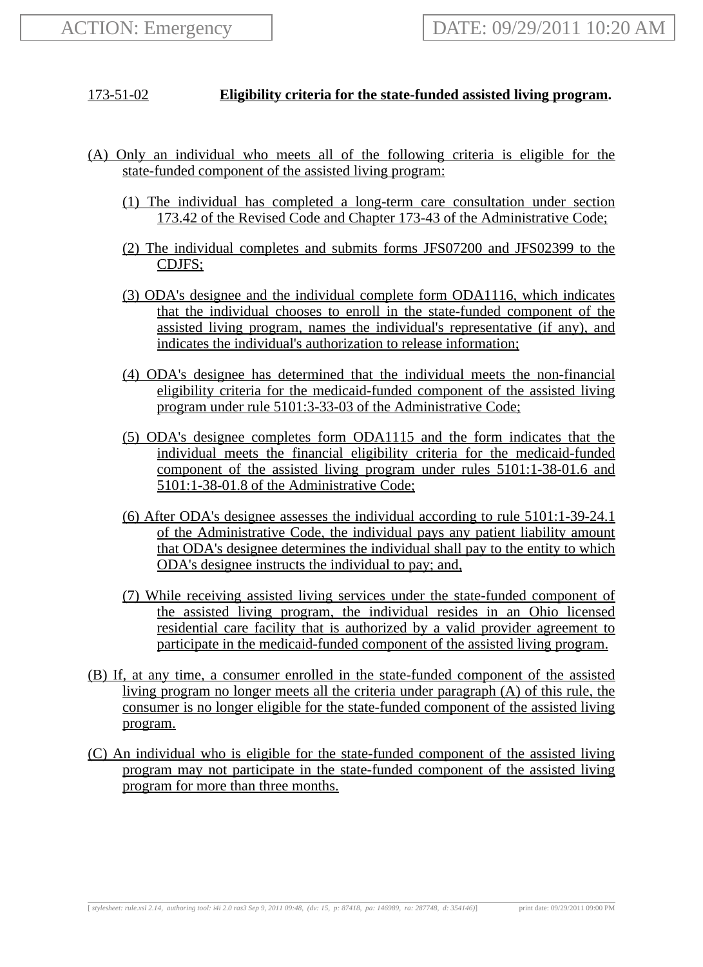## 173-51-02 **Eligibility criteria for the state-funded assisted living program.**

- (A) Only an individual who meets all of the following criteria is eligible for the state-funded component of the assisted living program:
	- (1) The individual has completed a long-term care consultation under section 173.42 of the Revised Code and Chapter 173-43 of the Administrative Code;
	- (2) The individual completes and submits forms JFS07200 and JFS02399 to the CDJFS;
	- (3) ODA's designee and the individual complete form ODA1116, which indicates that the individual chooses to enroll in the state-funded component of the assisted living program, names the individual's representative (if any), and indicates the individual's authorization to release information;
	- (4) ODA's designee has determined that the individual meets the non-financial eligibility criteria for the medicaid-funded component of the assisted living program under rule 5101:3-33-03 of the Administrative Code;
	- (5) ODA's designee completes form ODA1115 and the form indicates that the individual meets the financial eligibility criteria for the medicaid-funded component of the assisted living program under rules 5101:1-38-01.6 and 5101:1-38-01.8 of the Administrative Code;
	- (6) After ODA's designee assesses the individual according to rule 5101:1-39-24.1 of the Administrative Code, the individual pays any patient liability amount that ODA's designee determines the individual shall pay to the entity to which ODA's designee instructs the individual to pay; and,
	- (7) While receiving assisted living services under the state-funded component of the assisted living program, the individual resides in an Ohio licensed residential care facility that is authorized by a valid provider agreement to participate in the medicaid-funded component of the assisted living program.
- (B) If, at any time, a consumer enrolled in the state-funded component of the assisted living program no longer meets all the criteria under paragraph (A) of this rule, the consumer is no longer eligible for the state-funded component of the assisted living program.
- (C) An individual who is eligible for the state-funded component of the assisted living program may not participate in the state-funded component of the assisted living program for more than three months.